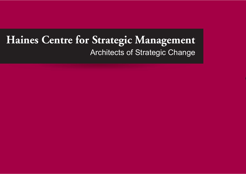## **Haines Centre for Strategic Management** Architects of Strategic Change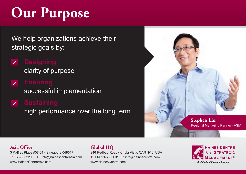# **Our Purpose**

We help organizations achieve their strategic goals by:

## $\checkmark$

clarity of purpose

### $\checkmark$

successful implementation

### **Sustaining**

high performance over the long term



#### **Asia Office**

3 Raffles Place #07-01 • Singapore 048617 **T:** +65-63322033 **E:** info@hainescentreasia.com www.HainesCentreAsia.com

#### **Global HQ**

946 Redbud Road • Chula Vista, CA 91910, USA **T:** +1-619-6633631 **E:** info@hainescentre.com www.HainesCentre.com

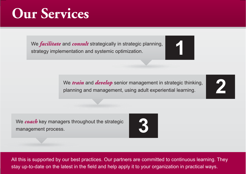## **Our Services**

We *facilitate* and *consult* strategically in strategic planning, strategy implementation and systemic optimization.



We *train* and *develop* senior management in strategic thinking, planning and management, using adult experiential learning.

**2**

We *coach* key managers throughout the strategic management process.



All this is supported by our best practices. Our partners are committed to continuous learning. They stay up-to-date on the latest in the field and help apply it to your organization in practical ways.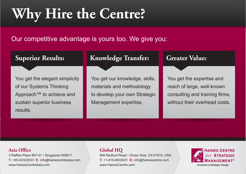## **Why Hire the Centre?**

Our competitive advantage is yours too. We give you:

#### You get the elegant simplicity of our Systems Thinking Approach™ to achieve and sustain superior business results.**Superior Results:**  You get our knowledge, skills, materials and methodology to develop your own Strategic Management expertise. **Knowledge Transfer:**  You get the expertise and reach of large, well-known consulting and training firms, without their overhead costs. **Greater Value:**

#### **Asia Office**

3 Raffles Place #07-01 • Singapore 048617 **T:** +65-63322033 **E:** info@hainescentreasia.com www.HainesCentreAsia.com

#### **Global HQ**

946 Redbud Road • Chula Vista, CA 91910, USA **T:** +1-619-6633631 **E:** info@hainescentre.com www.HainesCentre.com



**Architects of Strategic Change**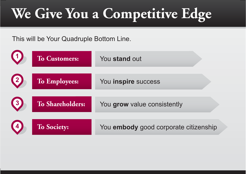# **We Give You a Competitive Edge**

This will be Your Quadruple Bottom Line.

| $\left( 1 \right)$                      | <b>To Customers:</b> | You stand out                         |
|-----------------------------------------|----------------------|---------------------------------------|
| $\left( 2\right)$                       | To Employees:        | You inspire success                   |
| $\begin{array}{c} \hline 3 \end{array}$ | To Shareholders:     | You grow value consistently           |
| $\left(4\right)$                        | <b>To Society:</b>   | You embody good corporate citizenship |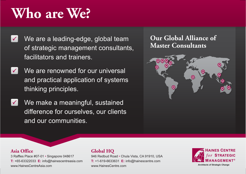## **Who are We?**

- We are a leading-edge, global team  $\vert\hspace{-.025in}\sqrt{\phantom{a}}\hspace{-.025in}\vert$ of strategic management consultants, facilitators and trainers.
- We are renowned for our universal  $\vert \checkmark \vert$ and practical application of systems thinking principles.
- We make a meaningful, sustained  $\vert\checkmark\vert$ difference for ourselves, our clients and our communities.

### **Our Global Alliance of Master Consultants**



#### **Asia Office**

3 Raffles Place #07-01 • Singapore 048617 **T:** +65-63322033 **E:** info@hainescentreasia.com www.HainesCentreAsia.com

#### **Global HQ**

946 Redbud Road • Chula Vista, CA 91910, USA **T:** +1-619-6633631 **E:** info@hainescentre.com www.HainesCentre.com



**Architects of Strategic Change**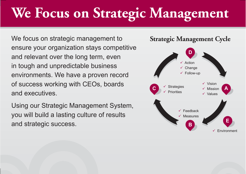## **We Focus on Strategic Management**

We focus on strategic management to ensure your organization stays competitive and relevant over the long term, even in tough and unpredictable business environments. We have a proven record of success working with CEOs, boards and executives.

Using our Strategic Management System, you will build a lasting culture of results and strategic success.